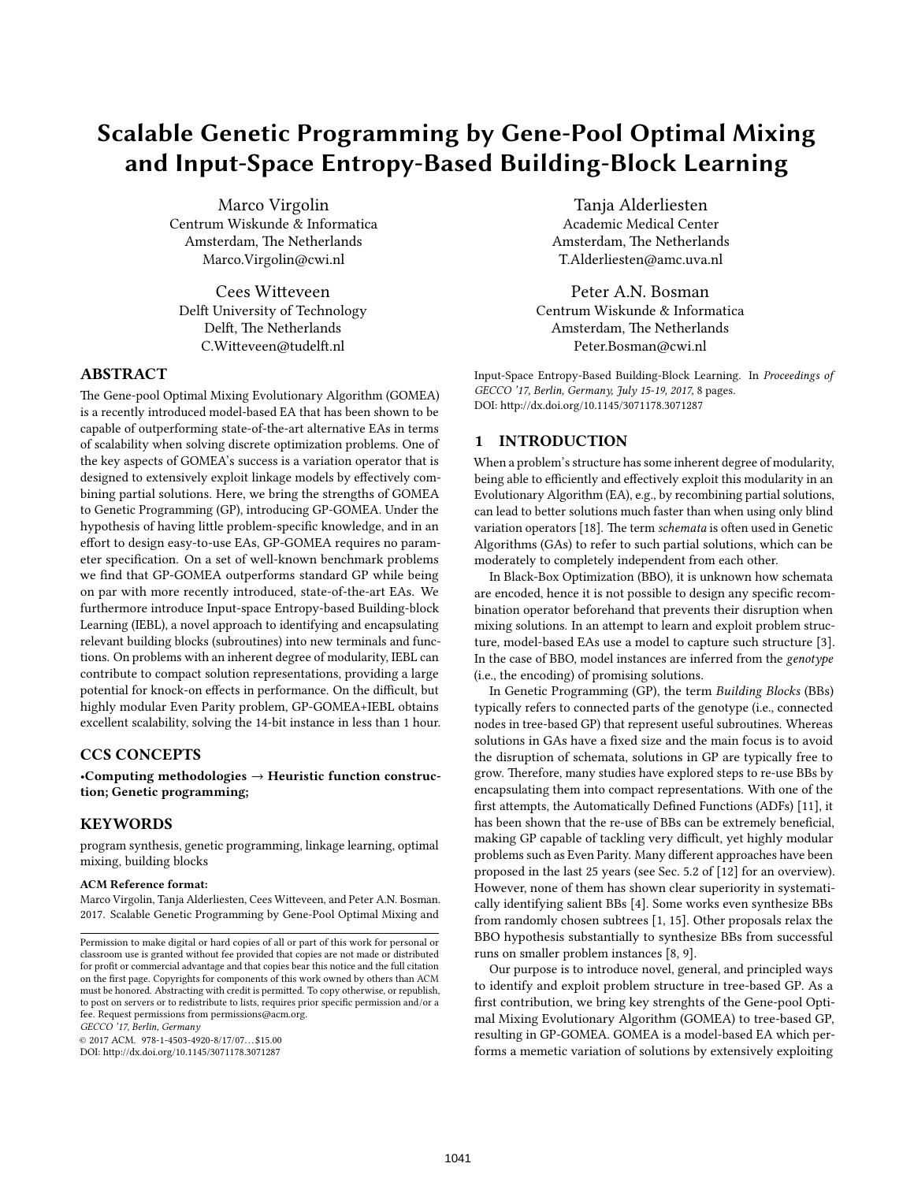# <span id="page-0-0"></span>Scalable Genetic Programming by Gene-Pool Optimal Mixing and Input-Space Entropy-Based Building-Block Learning

Marco Virgolin Centrum Wiskunde & Informatica Amsterdam, The Netherlands Marco.Virgolin@cwi.nl

Cees Witteveen Delft University of Technology Delft, The Netherlands C.Witteveen@tudelft.nl

## ABSTRACT

The Gene-pool Optimal Mixing Evolutionary Algorithm (GOMEA) is a recently introduced model-based EA that has been shown to be capable of outperforming state-of-the-art alternative EAs in terms of scalability when solving discrete optimization problems. One of the key aspects of GOMEA's success is a variation operator that is designed to extensively exploit linkage models by effectively combining partial solutions. Here, we bring the strengths of GOMEA to Genetic Programming (GP), introducing GP-GOMEA. Under the hypothesis of having little problem-specific knowledge, and in an effort to design easy-to-use EAs, GP-GOMEA requires no parameter specification. On a set of well-known benchmark problems we find that GP-GOMEA outperforms standard GP while being on par with more recently introduced, state-of-the-art EAs. We furthermore introduce Input-space Entropy-based Building-block Learning (IEBL), a novel approach to identifying and encapsulating relevant building blocks (subroutines) into new terminals and functions. On problems with an inherent degree of modularity, IEBL can contribute to compact solution representations, providing a large potential for knock-on effects in performance. On the difficult, but highly modular Even Parity problem, GP-GOMEA+IEBL obtains excellent scalability, solving the 14-bit instance in less than 1 hour.

## CCS CONCEPTS

•Computing methodologies  $\rightarrow$  Heuristic function construction; Genetic programming;

## KEYWORDS

program synthesis, genetic programming, linkage learning, optimal mixing, building blocks

#### ACM Reference format:

Marco Virgolin, Tanja Alderliesten, Cees Witteveen, and Peter A.N. Bosman. 2017. Scalable Genetic Programming by Gene-Pool Optimal Mixing and

GECCO '17, Berlin, Germany

© 2017 ACM. 978-1-4503-4920-8/17/07. . . \$15.00 DOI: http://dx.doi.org/10.1145/3071178.3071287

Tanja Alderliesten Academic Medical Center Amsterdam, The Netherlands T.Alderliesten@amc.uva.nl

Peter A.N. Bosman Centrum Wiskunde & Informatica Amsterdam, The Netherlands Peter.Bosman@cwi.nl

Input-Space Entropy-Based Building-Block Learning. In Proceedings of GECCO '17, Berlin, Germany, July 15-19, 2017, [8](#page-7-0) pages. DOI: http://dx.doi.org/10.1145/3071178.3071287

## 1 INTRODUCTION

When a problem's structure has some inherent degree of modularity, being able to efficiently and effectively exploit this modularity in an Evolutionary Algorithm (EA), e.g., by recombining partial solutions, can lead to better solutions much faster than when using only blind variation operators [\[18\]](#page-6-0). The term schemata is often used in Genetic Algorithms (GAs) to refer to such partial solutions, which can be moderately to completely independent from each other.

In Black-Box Optimization (BBO), it is unknown how schemata are encoded, hence it is not possible to design any specific recombination operator beforehand that prevents their disruption when mixing solutions. In an attempt to learn and exploit problem structure, model-based EAs use a model to capture such structure [\[3\]](#page-6-1). In the case of BBO, model instances are inferred from the genotype (i.e., the encoding) of promising solutions.

In Genetic Programming (GP), the term Building Blocks (BBs) typically refers to connected parts of the genotype (i.e., connected nodes in tree-based GP) that represent useful subroutines. Whereas solutions in GAs have a fixed size and the main focus is to avoid the disruption of schemata, solutions in GP are typically free to grow. Therefore, many studies have explored steps to re-use BBs by encapsulating them into compact representations. With one of the first attempts, the Automatically Defined Functions (ADFs) [\[11\]](#page-6-2), it has been shown that the re-use of BBs can be extremely beneficial, making GP capable of tackling very difficult, yet highly modular problems such as Even Parity. Many different approaches have been proposed in the last 25 years (see Sec. 5.2 of [\[12\]](#page-6-3) for an overview). However, none of them has shown clear superiority in systematically identifying salient BBs [\[4\]](#page-6-4). Some works even synthesize BBs from randomly chosen subtrees [\[1,](#page-6-5) [15\]](#page-6-6). Other proposals relax the BBO hypothesis substantially to synthesize BBs from successful runs on smaller problem instances [\[8,](#page-6-7) [9\]](#page-6-8).

Our purpose is to introduce novel, general, and principled ways to identify and exploit problem structure in tree-based GP. As a first contribution, we bring key strenghts of the Gene-pool Optimal Mixing Evolutionary Algorithm (GOMEA) to tree-based GP, resulting in GP-GOMEA. GOMEA is a model-based EA which performs a memetic variation of solutions by extensively exploiting

Permission to make digital or hard copies of all or part of this work for personal or classroom use is granted without fee provided that copies are not made or distributed for profit or commercial advantage and that copies bear this notice and the full citation on the first page. Copyrights for components of this work owned by others than ACM must be honored. Abstracting with credit is permitted. To copy otherwise, or republish, to post on servers or to redistribute to lists, requires prior specific permission and/or a fee. Request permissions from permissions@acm.org.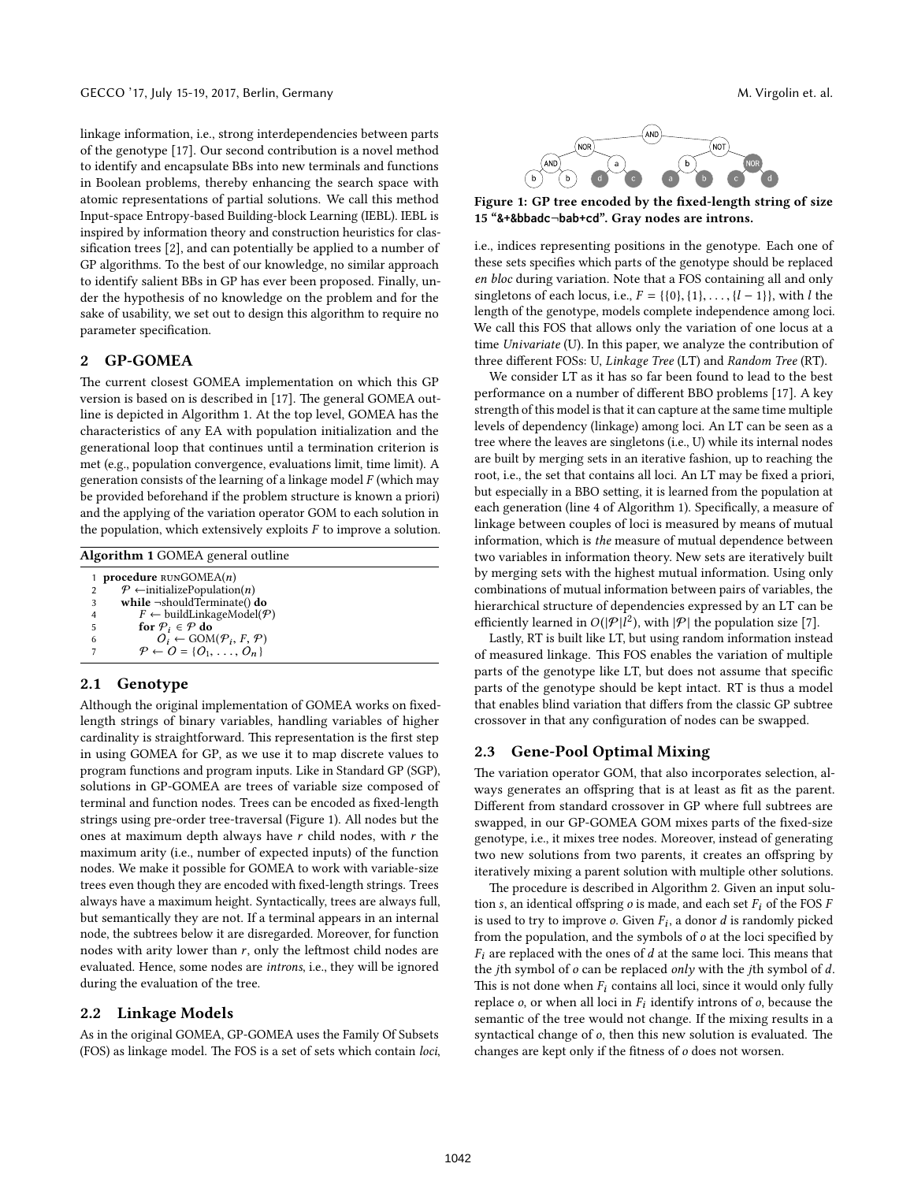linkage information, i.e., strong interdependencies between parts of the genotype [\[17\]](#page-6-9). Our second contribution is a novel method to identify and encapsulate BBs into new terminals and functions in Boolean problems, thereby enhancing the search space with atomic representations of partial solutions. We call this method Input-space Entropy-based Building-block Learning (IEBL). IEBL is inspired by information theory and construction heuristics for classification trees  $[2]$ , and can potentially be applied to a number of GP algorithms. To the best of our knowledge, no similar approach to identify salient BBs in GP has ever been proposed. Finally, under the hypothesis of no knowledge on the problem and for the sake of usability, we set out to design this algorithm to require no parameter specification.

## 2 GP-GOMEA

The current closest GOMEA implementation on which this GP version is based on is described in [\[17\]](#page-6-9). The general GOMEA outline is depicted in Algorithm [1.](#page-1-0) At the top level, GOMEA has the characteristics of any EA with population initialization and the generational loop that continues until a termination criterion is met (e.g., population convergence, evaluations limit, time limit). A generation consists of the learning of a linkage model  $F$  (which may be provided beforehand if the problem structure is known a priori) and the applying of the variation operator GOM to each solution in the population, which extensively exploits  $F$  to improve a solution.

<span id="page-1-0"></span>

| <b>Algorithm 1 GOMEA general outline</b> |                                                     |  |  |  |  |  |  |  |  |
|------------------------------------------|-----------------------------------------------------|--|--|--|--|--|--|--|--|
|                                          | procedure $RUNGOMEA(n)$                             |  |  |  |  |  |  |  |  |
| 2                                        | $P \leftarrow$ initializePopulation( <i>n</i> )     |  |  |  |  |  |  |  |  |
| 3                                        | while $\neg$ shouldTerminate() do                   |  |  |  |  |  |  |  |  |
| 4                                        | $F \leftarrow$ buildLinkageModel( $\mathcal{P}$ )   |  |  |  |  |  |  |  |  |
| 5                                        | for $P_i \in P$ do                                  |  |  |  |  |  |  |  |  |
| 6                                        | $O_i \leftarrow GOM(\mathcal{P}_i, F, \mathcal{P})$ |  |  |  |  |  |  |  |  |
| 7                                        | $P \leftarrow O = \{O_1, \ldots, O_n\}$             |  |  |  |  |  |  |  |  |
|                                          |                                                     |  |  |  |  |  |  |  |  |

#### 2.1 Genotype

Although the original implementation of GOMEA works on fixedlength strings of binary variables, handling variables of higher cardinality is straightforward. This representation is the first step in using GOMEA for GP, as we use it to map discrete values to program functions and program inputs. Like in Standard GP (SGP), solutions in GP-GOMEA are trees of variable size composed of terminal and function nodes. Trees can be encoded as fixed-length strings using pre-order tree-traversal (Figure [1\)](#page-1-1). All nodes but the ones at maximum depth always have  $r$  child nodes, with  $r$  the maximum arity (i.e., number of expected inputs) of the function nodes. We make it possible for GOMEA to work with variable-size trees even though they are encoded with fixed-length strings. Trees always have a maximum height. Syntactically, trees are always full, but semantically they are not. If a terminal appears in an internal node, the subtrees below it are disregarded. Moreover, for function nodes with arity lower than  $r$ , only the leftmost child nodes are evaluated. Hence, some nodes are introns, i.e., they will be ignored during the evaluation of the tree.

#### 2.2 Linkage Models

As in the original GOMEA, GP-GOMEA uses the Family Of Subsets (FOS) as linkage model. The FOS is a set of sets which contain loci,

<span id="page-1-1"></span>

Figure 1: GP tree encoded by the fixed-length string of size 15 "&+&bbadc¬bab+cd". Gray nodes are introns.

i.e., indices representing positions in the genotype. Each one of these sets specifies which parts of the genotype should be replaced en bloc during variation. Note that a FOS containing all and only singletons of each locus, i.e.,  $F = \{\{0\}, \{1\}, \ldots, \{l-1\}\}\$ , with l the length of the genotype, models complete independence among loci. We call this FOS that allows only the variation of one locus at a time Univariate (U). In this paper, we analyze the contribution of three different FOSs: U, Linkage Tree (LT) and Random Tree (RT).

We consider LT as it has so far been found to lead to the best performance on a number of different BBO problems [\[17\]](#page-6-9). A key strength of this model is that it can capture at the same time multiple levels of dependency (linkage) among loci. An LT can be seen as a tree where the leaves are singletons (i.e., U) while its internal nodes are built by merging sets in an iterative fashion, up to reaching the root, i.e., the set that contains all loci. An LT may be fixed a priori, but especially in a BBO setting, it is learned from the population at each generation (line [4](#page-1-0) of Algorithm [1\)](#page-1-0). Specifically, a measure of linkage between couples of loci is measured by means of mutual information, which is the measure of mutual dependence between two variables in information theory. New sets are iteratively built by merging sets with the highest mutual information. Using only combinations of mutual information between pairs of variables, the hierarchical structure of dependencies expressed by an LT can be efficiently learned in  $O(|\mathcal{P}|l^2)$ , with  $|\mathcal{P}|$  the population size [\[7\]](#page-6-11).<br>Letty PT is built like LT but using random information inste

Lastly, RT is built like LT, but using random information instead of measured linkage. This FOS enables the variation of multiple parts of the genotype like LT, but does not assume that specific parts of the genotype should be kept intact. RT is thus a model that enables blind variation that differs from the classic GP subtree crossover in that any configuration of nodes can be swapped.

#### 2.3 Gene-Pool Optimal Mixing

The variation operator GOM, that also incorporates selection, always generates an offspring that is at least as fit as the parent. Different from standard crossover in GP where full subtrees are swapped, in our GP-GOMEA GOM mixes parts of the fixed-size genotype, i.e., it mixes tree nodes. Moreover, instead of generating two new solutions from two parents, it creates an offspring by iteratively mixing a parent solution with multiple other solutions.

The procedure is described in Algorithm [2.](#page-2-0) Given an input solution s, an identical offspring  $o$  is made, and each set  $F_i$  of the FOS  $F$ is used to try to improve  $\overline{e}$ . Given  $F_i$ , a donor  $\overline{d}$  is randomly picked from the population, and the symbols of  $\overline{e}$  at the loci specified by from the population, and the symbols of  $o$  at the loci specified by  $F_i$  are replaced with the ones of  $d$  at the same loci. This means that the jth symbol of  $o$  can be replaced only with the jth symbol of  $d$ . This is not done when  $F_i$  contains all loci, since it would only fully replace  $o$ , or when all loci in  $F_i$  identify introns of  $o$ , because the semantic of the tree would not change. If the mixing results in a semantic of the tree would not change. If the mixing results in a syntactical change of  $o$ , then this new solution is evaluated. The changes are kept only if the fitness of  $o$  does not worsen.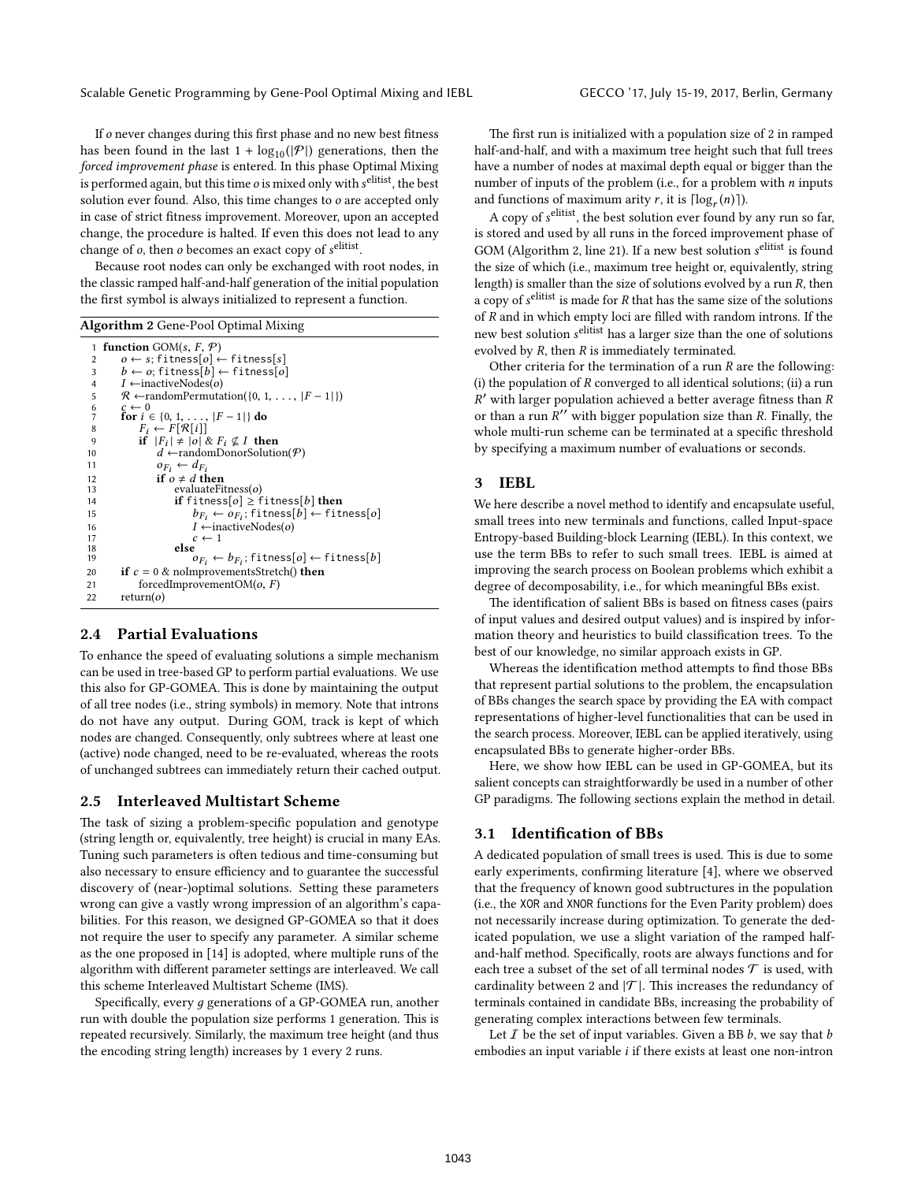If o never changes during this first phase and no new best fitness has been found in the last  $1 + log_{10}(|P|)$  generations, then the forced improvement phase is entered. In this phase Optimal Mixing is performed again, but this time  $o$  is mixed only with  $s^{\text{clitist}}$ , the best solution ever found. Also, this time changes to a are accepted only solution ever found. Also, this time changes to o are accepted only in case of strict fitness improvement. Moreover, upon an accepted change, the procedure is halted. If even this does not lead to any change of 0, then o becomes an exact copy of s<sup>elitist</sup>.<br>Because root nodes can only be exchanged with

Because root nodes can only be exchanged with root nodes, in the classic ramped half-and-half generation of the initial population the first symbol is always initialized to represent a function.

<span id="page-2-0"></span>

| Algorithm 2 Gene-Pool Optimal Mixing |  |  |
|--------------------------------------|--|--|
|                                      |  |  |

| $\mathbf{1}$                          | function GOM(s, $F, \mathcal{P}$ )                                        |
|---------------------------------------|---------------------------------------------------------------------------|
| 2                                     | $o \leftarrow s$ ; fitness[ $o$ ] $\leftarrow$ fitness[s]                 |
| 3                                     | $b \leftarrow o$ ; fitness $[b] \leftarrow$ fitness $[o]$                 |
| 4                                     | $I \leftarrow$ inactiveNodes( <i>o</i> )                                  |
| 5                                     | $\mathcal{R} \leftarrow$ randomPermutation({0, 1, ,  F – 1 })             |
|                                       | $c \leftarrow 0$                                                          |
| $\begin{array}{c} 6 \\ 7 \end{array}$ | for $i \in \{0, 1, \ldots,  F-1 \}$ do                                    |
| 8                                     | $F_i \leftarrow F[\mathcal{R}[i]]$                                        |
| 9                                     | if $ F_i  \neq  o  \& F_i \nsubseteq I$ then                              |
| 10                                    | $d \leftarrow$ randomDonorSolution(P)                                     |
| 11                                    | $o_{F_i} \leftarrow d_{F_i}$                                              |
| 12                                    | if $o \neq d$ then                                                        |
| 13                                    | evaluateFitness( $o$ )                                                    |
| 14                                    | if fitness[ $o$ ] $\geq$ fitness[ $b$ ] then                              |
| 15                                    | $b_{F_i} \leftarrow o_{F_i}$ ; fitness $[b] \leftarrow$ fitness $[o]$     |
| 16                                    | $I \leftarrow$ inactiveNodes( <i>o</i> )                                  |
| 17                                    | $c \leftarrow 1$                                                          |
| 18                                    | else                                                                      |
| 19                                    | $o_{F_i} \leftarrow b_{F_i}$ ; fitness[ $o$ ] $\leftarrow$ fitness[ $b$ ] |
| 20                                    | if $c = 0$ & noImprovementsStretch() then                                 |
| 21                                    | forcedImprovementOM $(o, F)$                                              |
| 22                                    | return(o)                                                                 |

#### 2.4 Partial Evaluations

To enhance the speed of evaluating solutions a simple mechanism can be used in tree-based GP to perform partial evaluations. We use this also for GP-GOMEA. This is done by maintaining the output of all tree nodes (i.e., string symbols) in memory. Note that introns do not have any output. During GOM, track is kept of which nodes are changed. Consequently, only subtrees where at least one (active) node changed, need to be re-evaluated, whereas the roots of unchanged subtrees can immediately return their cached output.

#### <span id="page-2-1"></span>2.5 Interleaved Multistart Scheme

The task of sizing a problem-specific population and genotype (string length or, equivalently, tree height) is crucial in many EAs. Tuning such parameters is often tedious and time-consuming but also necessary to ensure efficiency and to guarantee the successful discovery of (near-)optimal solutions. Setting these parameters wrong can give a vastly wrong impression of an algorithm's capabilities. For this reason, we designed GP-GOMEA so that it does not require the user to specify any parameter. A similar scheme as the one proposed in [\[14\]](#page-6-12) is adopted, where multiple runs of the algorithm with different parameter settings are interleaved. We call this scheme Interleaved Multistart Scheme (IMS).

Specifically, every  $g$  generations of a GP-GOMEA run, another run with double the population size performs 1 generation. This is repeated recursively. Similarly, the maximum tree height (and thus the encoding string length) increases by 1 every 2 runs.

The first run is initialized with a population size of 2 in ramped half-and-half, and with a maximum tree height such that full trees have a number of nodes at maximal depth equal or bigger than the number of inputs of the problem (i.e., for a problem with  $n$  inputs and functions of maximum arity r, it is  $\lceil \log_r(n) \rceil$ .

A copy of s<sup>elitist</sup>, the best solution ever found by any run so far,<br>thered and used by all runs in the forced improvement phase of is stored and used by all runs in the forced improvement phase of GOM (Algorithm [2,](#page-2-0) line [21\)](#page-2-0). If a new best solution  $s^{\text{clitist}}$  is found the size of which (i.e. maximum tree beight or equivalently string the size of which (i.e., maximum tree height or, equivalently, string length) is smaller than the size of solutions evolved by a run R, then a copy of  $s^{\text{elitist}}$  is made for R that has the same size of the solutions of R and in which empty loci are filled with random introns. If the of  $R$  and in which empty loci are filled with random introns. If the new best solution  $s^{ellting}$  has a larger size than the one of solutions avolved by  $R$  than  $R$  is immediately terminated evolved by  $R$ , then  $R$  is immediately terminated.

Other criteria for the termination of a run  $R$  are the following: (i) the population of  $R$  converged to all identical solutions; (ii) a run or than a run  $R''$  with bigger population size than  $R$ . Finally, the whole multi-run scheme can be terminated at a specific threshold  $R'$  with larger population achieved a better average fitness than  $R$ whole multi-run scheme can be terminated at a specific threshold by specifying a maximum number of evaluations or seconds.

## 3 IEBL

We here describe a novel method to identify and encapsulate useful, small trees into new terminals and functions, called Input-space Entropy-based Building-block Learning (IEBL). In this context, we use the term BBs to refer to such small trees. IEBL is aimed at improving the search process on Boolean problems which exhibit a degree of decomposability, i.e., for which meaningful BBs exist.

The identification of salient BBs is based on fitness cases (pairs of input values and desired output values) and is inspired by information theory and heuristics to build classification trees. To the best of our knowledge, no similar approach exists in GP.

Whereas the identification method attempts to find those BBs that represent partial solutions to the problem, the encapsulation of BBs changes the search space by providing the EA with compact representations of higher-level functionalities that can be used in the search process. Moreover, IEBL can be applied iteratively, using encapsulated BBs to generate higher-order BBs.

Here, we show how IEBL can be used in GP-GOMEA, but its salient concepts can straightforwardly be used in a number of other GP paradigms. The following sections explain the method in detail.

#### 3.1 Identification of BBs

A dedicated population of small trees is used. This is due to some early experiments, confirming literature [\[4\]](#page-6-4), where we observed that the frequency of known good subtructures in the population (i.e., the XOR and XNOR functions for the Even Parity problem) does not necessarily increase during optimization. To generate the dedicated population, we use a slight variation of the ramped halfand-half method. Specifically, roots are always functions and for each tree a subset of the set of all terminal nodes  $\mathcal T$  is used, with cardinality between 2 and  $|{\mathcal{T}}|$ . This increases the redundancy of terminals contained in candidate BBs, increasing the probability of generating complex interactions between few terminals.

Let  $I$  be the set of input variables. Given a BB  $b$ , we say that  $b$ embodies an input variable  $i$  if there exists at least one non-intron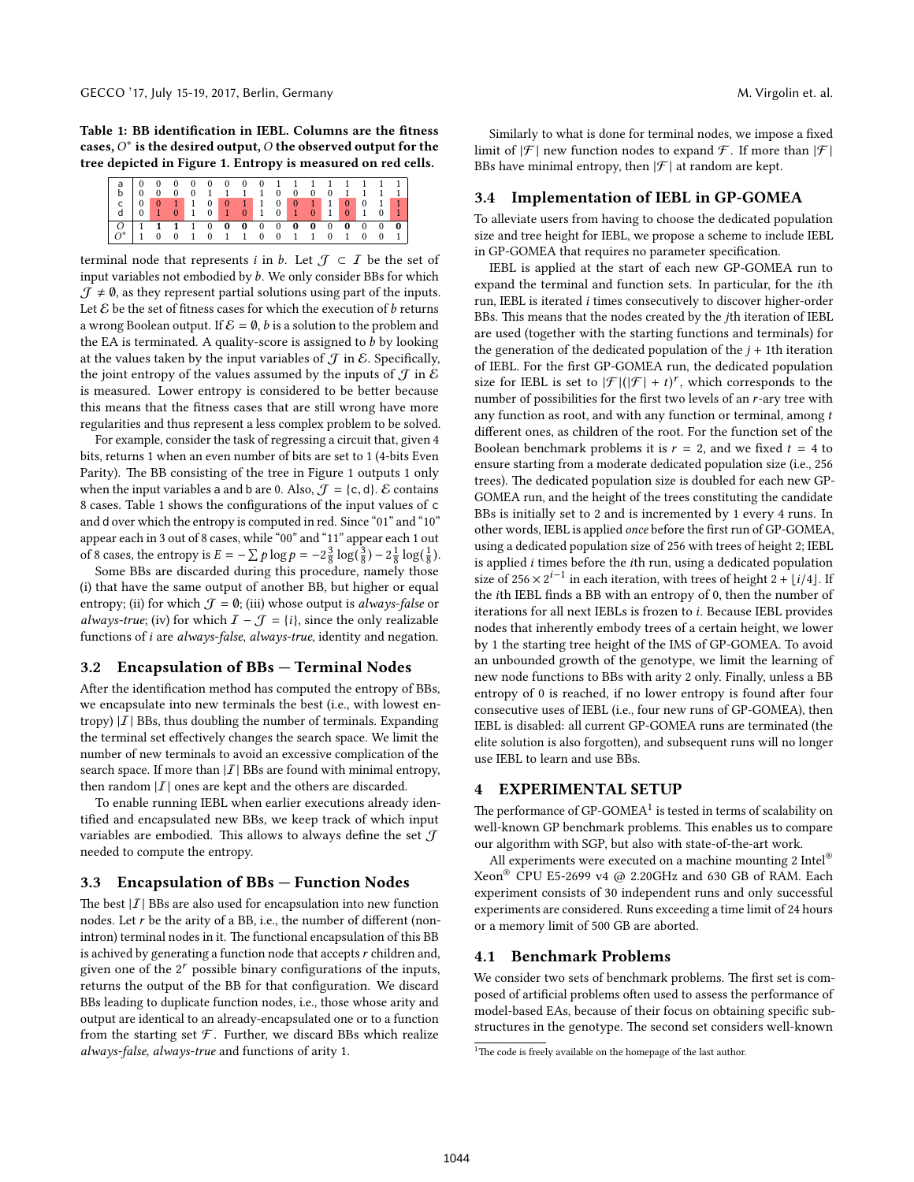<span id="page-3-0"></span>Table 1: BB identification in IEBL. Columns are the fitness cases, O<sup>∗</sup> is the desired output, O the observed output for the tree depicted in Figure 1. Futrony is measured on red cells tree depicted in Figure [1.](#page-1-1) Entropy is measured on red cells.

| a | $\overline{0}$ | $\Omega$     | $\mathbf{0}$ | $\mathbf{0}$   | $0\quad 0$          |           | $\sim$ 0                | $0\quad 1$ | $\overline{1}$                  | $\overline{1}$ | $\overline{1}$ | $\overline{1}$                        |    | 1 1               |                |
|---|----------------|--------------|--------------|----------------|---------------------|-----------|-------------------------|------------|---------------------------------|----------------|----------------|---------------------------------------|----|-------------------|----------------|
| b | $\theta$       | $\theta$     |              |                |                     | 0 0 1 1 1 |                         |            | 1 0 0 0 0 1                     |                |                |                                       | -1 | $1\quad1$         |                |
| C | $\bf{0}$       | $\Omega$     | -op-         | $\blacksquare$ |                     |           | 0 0 1 1 0 0 1 1         |            |                                 |                |                | 0 <sup>0</sup>                        |    | $1\vert 1$        |                |
| d | $\Omega$       |              |              | $0 \quad 1$    |                     |           | 0 1 0 1 0 1 0 1         |            |                                 |                |                | $\begin{array}{cc} 0 & 1 \end{array}$ |    | 0 <sup>1</sup>    | $\blacksquare$ |
|   |                | $\mathbf{1}$ |              |                | $1 \quad 0 \quad 0$ |           | $\mathbf{0}$            |            | $0\quad 0\quad 0\quad 0\quad 0$ |                |                | $\mathbf{0}$                          |    | $0\quad 0\quad 0$ |                |
|   |                | $\Omega$     |              |                |                     |           | 0 1 0 1 1 0 0 1 1 0 1 0 |            |                                 |                |                |                                       |    |                   | $0 \quad 1$    |
|   |                |              |              |                |                     |           |                         |            |                                 |                |                |                                       |    |                   |                |

terminal node that represents *i* in *b*. Let  $\mathcal{J} \subset \mathcal{I}$  be the set of input variables not embodied by b. We only consider BBs for which  $\mathcal{J} \neq \emptyset$ , as they represent partial solutions using part of the inputs. Let  $\mathcal E$  be the set of fitness cases for which the execution of  $b$  returns a wrong Boolean output. If  $\mathcal{E} = \emptyset$ , *b* is a solution to the problem and the EA is terminated. A quality-score is assigned to  $b$  by looking at the values taken by the input variables of  $\mathcal J$  in  $\mathcal E$ . Specifically, the joint entropy of the values assumed by the inputs of  $\mathcal T$  in  $\mathcal E$ is measured. Lower entropy is considered to be better because this means that the fitness cases that are still wrong have more regularities and thus represent a less complex problem to be solved.

For example, consider the task of regressing a circuit that, given 4 bits, returns 1 when an even number of bits are set to 1 (4-bits Even Parity). The BB consisting of the tree in Figure [1](#page-1-1) outputs 1 only when the input variables a and b are 0. Also,  $\mathcal{J} = \{c, d\}$ . E contains 8 cases. Table [1](#page-3-0) shows the configurations of the input values of c and d over which the entropy is computed in red. Since "01" and "10" appear each in 3 out of 8 cases, while "00" and "11" appear each 1 out of 8 cases, the entropy is  $E = -\sum p \log p = -2\frac{3}{8} \log(\frac{3}{8}) - 2\frac{1}{8} \log(\frac{1}{8})$ .

Some BBs are discarded during this procedure, namely those (i) that have the same output of another BB, but higher or equal entropy; (ii) for which  $\mathcal{J} = \emptyset$ ; (iii) whose output is *always-false* or always-true; (iv) for which  $I - \mathcal{J} = \{i\}$ , since the only realizable functions of i are always-false, always-true, identity and negation.

#### 3.2 Encapsulation of BBs — Terminal Nodes

After the identification method has computed the entropy of BBs, we encapsulate into new terminals the best (i.e., with lowest entropy)  $|I|$  BBs, thus doubling the number of terminals. Expanding the terminal set effectively changes the search space. We limit the number of new terminals to avoid an excessive complication of the search space. If more than  $|I|$  BBs are found with minimal entropy, then random  $|I|$  ones are kept and the others are discarded.

To enable running IEBL when earlier executions already identified and encapsulated new BBs, we keep track of which input variables are embodied. This allows to always define the set  $J$ needed to compute the entropy.

#### 3.3 Encapsulation of BBs — Function Nodes

The best  $|I|$  BBs are also used for encapsulation into new function nodes. Let  $r$  be the arity of a BB, i.e., the number of different (nonintron) terminal nodes in it. The functional encapsulation of this BB is achived by generating a function node that accepts  $r$  children and, given one of the  $2<sup>r</sup>$  possible binary configurations of the inputs, returns the output of the BB for that configuration. We discard BBs leading to duplicate function nodes, i.e., those whose arity and output are identical to an already-encapsulated one or to a function from the starting set  $\mathcal F$ . Further, we discard BBs which realize always-false, always-true and functions of arity 1.

Similarly to what is done for terminal nodes, we impose a fixed limit of  $|\mathcal{F}|$  new function nodes to expand  $\mathcal{F}$ . If more than  $|\mathcal{F}|$ BBs have minimal entropy, then  $|\mathcal{F}|$  at random are kept.

#### 3.4 Implementation of IEBL in GP-GOMEA

To alleviate users from having to choose the dedicated population size and tree height for IEBL, we propose a scheme to include IEBL in GP-GOMEA that requires no parameter specification.

IEBL is applied at the start of each new GP-GOMEA run to expand the terminal and function sets. In particular, for the ith run, IEBL is iterated i times consecutively to discover higher-order BBs. This means that the nodes created by the jth iteration of IEBL are used (together with the starting functions and terminals) for the generation of the dedicated population of the  $j + 1$ th iteration of IEBL. For the first GP-GOMEA run, the dedicated population size for IEBL is set to  $|\mathcal{F}|(|\mathcal{F}| + t)^r$ , which corresponds to the number of possibilities for the first two levels of an r-ary tree with number of possibilities for the first two levels of an  $r$ -ary tree with any function as root, and with any function or terminal, among  $t$ different ones, as children of the root. For the function set of the Boolean benchmark problems it is  $r = 2$ , and we fixed  $t = 4$  to ensure starting from a moderate dedicated population size (i.e., 256 trees). The dedicated population size is doubled for each new GP-GOMEA run, and the height of the trees constituting the candidate BBs is initially set to 2 and is incremented by 1 every 4 runs. In other words, IEBL is applied once before the first run of GP-GOMEA, using a dedicated population size of 256 with trees of height 2; IEBL is applied i times before the ith run, using a dedicated population size of 256  $\times 2^{i-1}$  in each iteration, with trees of height  $2 + \lfloor i/4 \rfloor$ . If the *i*th IEBL finds a BB with an entropy of 0, then the number of iterations for all next IEBLs is frozen to i. Because IEBL provides nodes that inherently embody trees of a certain height, we lower by 1 the starting tree height of the IMS of GP-GOMEA. To avoid an unbounded growth of the genotype, we limit the learning of new node functions to BBs with arity 2 only. Finally, unless a BB entropy of 0 is reached, if no lower entropy is found after four consecutive uses of IEBL (i.e., four new runs of GP-GOMEA), then IEBL is disabled: all current GP-GOMEA runs are terminated (the elite solution is also forgotten), and subsequent runs will no longer use IEBL to learn and use BBs.

## 4 EXPERIMENTAL SETUP

The performance of GP-GOMEA $^1$  $^1$  is tested in terms of scalability on well-known GP benchmark problems. This enables us to compare our algorithm with SGP, but also with state-of-the-art work.

All experiments were executed on a machine mounting 2 Intel<sup>®</sup> Xeon® CPU E5-2699 v4 @ 2.20GHz and 630 GB of RAM. Each experiment consists of 30 independent runs and only successful experiments are considered. Runs exceeding a time limit of 24 hours or a memory limit of 500 GB are aborted.

#### 4.1 Benchmark Problems

We consider two sets of benchmark problems. The first set is composed of artificial problems often used to assess the performance of model-based EAs, because of their focus on obtaining specific substructures in the genotype. The second set considers well-known

 $1$ <sup>1</sup>The code is freely available on the homepage of the last author.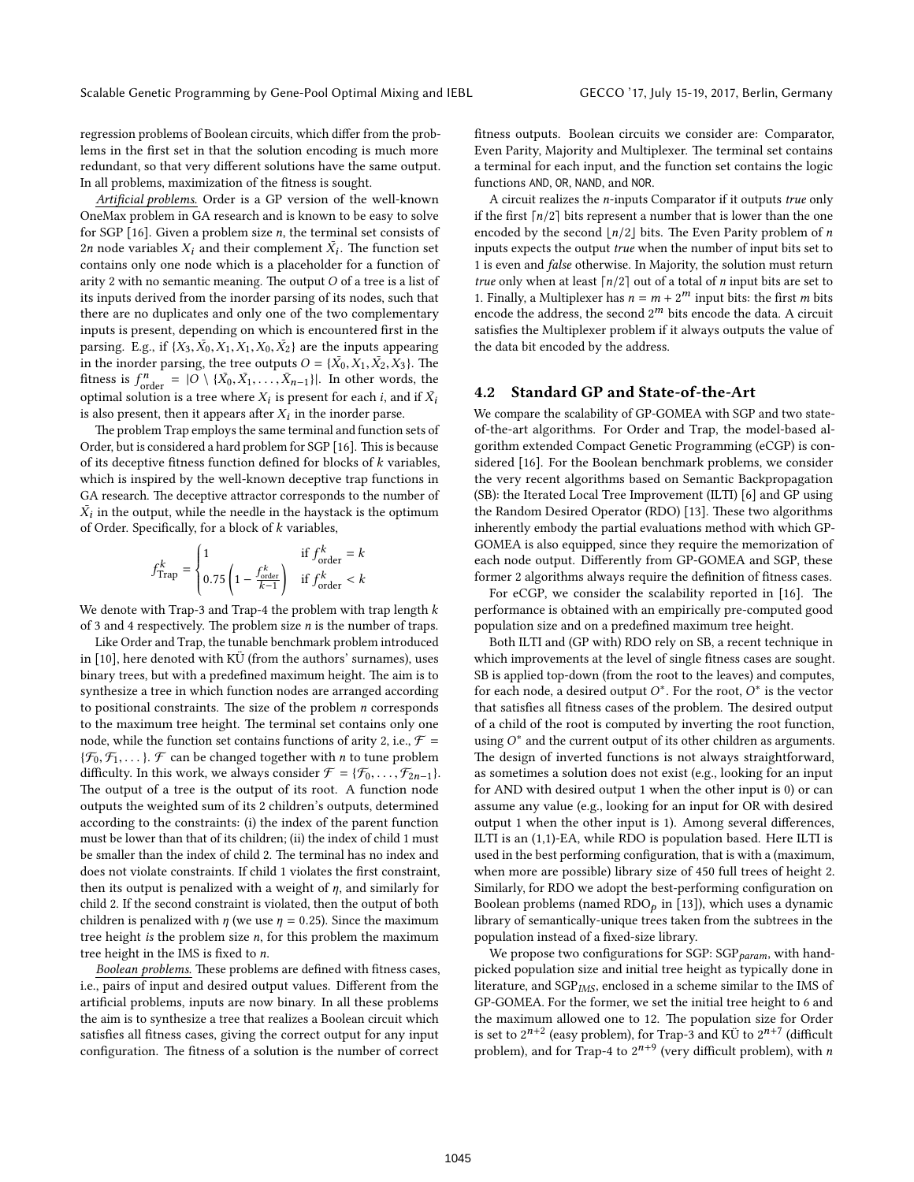regression problems of Boolean circuits, which differ from the problems in the first set in that the solution encoding is much more redundant, so that very different solutions have the same output. In all problems, maximization of the fitness is sought.

Artificial problems. Order is a GP version of the well-known OneMax problem in GA research and is known to be easy to solve for SGP  $[16]$ . Given a problem size *n*, the terminal set consists of 2n node variables  $X_i$  and their complement  $\bar{X}_i$ . The function set contains only one node which is a placeholder for a function of contains only one node which is a placeholder for a function of arity 2 with no semantic meaning. The output  $O$  of a tree is a list of its inputs derived from the inorder parsing of its nodes, such that there are no duplicates and only one of the two complementary inputs is present, depending on which is encountered first in the parsing. E.g., if  $\{X_3, X_0, X_1, X_1, X_0, X_2\}$  are the inputs appearing<br>in the inorder parsing, the tree outputs  $Q = \{X_3, X_2, X_3, X_4, X_5, X_6\}$ . The in the inorder parsing, the tree outputs  $O = {\overline{X_0}, X_1, X_2, X_3}$ . The<br>fitness is  $f^n = |O \setminus {\overline{X_0}, \overline{X_1}} \times \overline{X_2}$ . It in other words the fitness is  $f_{\text{order}}^n = |O \setminus {\{\bar{X}_0, \bar{X}_1, \ldots, \bar{X}_{n-1}\}}|$ . In other words, the optimal solution is a tree where  $X_i$  is present for each *i*, and if  $\bar{X}_i$  is also present then it appears after *Y*, in the inorder parse is also present, then it appears after  $X_i$  in the inorder parse.<br>The problem Tran employs the same terminal and function

The problem Trap employs the same terminal and function sets of Order, but is considered a hard problem for SGP [\[16\]](#page-6-13). This is because of its deceptive fitness function defined for blocks of  $k$  variables, which is inspired by the well-known deceptive trap functions in GA research. The deceptive attractor corresponds to the number of  $\bar{X}_i$  in the output, while the needle in the haystack is the optimum<br>of Order, Specifically, for a block of k variables of Order. Specifically, for a block of  $k$  variables,

$$
f_{\text{Trap}}^k = \begin{cases} 1 & \text{if } f_{\text{order}}^k = k \\ 0.75 \left( 1 - \frac{f_{\text{order}}^k}{k - 1} \right) & \text{if } f_{\text{order}}^k < k \end{cases}
$$

We denote with Trap-3 and Trap-4 the problem with trap length  $k$ of 3 and 4 respectively. The problem size  $n$  is the number of traps.

Like Order and Trap, the tunable benchmark problem introduced in  $[10]$ , here denoted with KÜ (from the authors' surnames), uses binary trees, but with a predefined maximum height. The aim is to synthesize a tree in which function nodes are arranged according to positional constraints. The size of the problem  $n$  corresponds to the maximum tree height. The terminal set contains only one node, while the function set contains functions of arity 2, i.e.,  $\mathcal{F}$  =  $\{\mathcal{F}_0, \mathcal{F}_1, \ldots\}$ .  $\mathcal F$  can be changed together with *n* to tune problem difficulty. In this work, we always consider  $\mathcal{F} = {\mathcal{F}_0, \ldots, \mathcal{F}_{2n-1}}$ . The output of a tree is the output of its root. A function node outputs the weighted sum of its 2 children's outputs, determined according to the constraints: (i) the index of the parent function must be lower than that of its children; (ii) the index of child 1 must be smaller than the index of child 2. The terminal has no index and does not violate constraints. If child 1 violates the first constraint, then its output is penalized with a weight of  $\eta$ , and similarly for child 2. If the second constraint is violated, then the output of both children is penalized with  $\eta$  (we use  $\eta = 0.25$ ). Since the maximum tree height is the problem size  $n$ , for this problem the maximum tree height in the IMS is fixed to  $n$ .

Boolean problems. These problems are defined with fitness cases, i.e., pairs of input and desired output values. Different from the artificial problems, inputs are now binary. In all these problems the aim is to synthesize a tree that realizes a Boolean circuit which satisfies all fitness cases, giving the correct output for any input configuration. The fitness of a solution is the number of correct

fitness outputs. Boolean circuits we consider are: Comparator, Even Parity, Majority and Multiplexer. The terminal set contains a terminal for each input, and the function set contains the logic functions AND, OR, NAND, and NOR.

A circuit realizes the *n*-inputs Comparator if it outputs *true* only if the first  $\lceil n/2 \rceil$  bits represent a number that is lower than the one encoded by the second  $\lfloor n/2 \rfloor$  bits. The Even Parity problem of n inputs expects the output true when the number of input bits set to 1 is even and false otherwise. In Majority, the solution must return true only when at least  $\lceil n/2 \rceil$  out of a total of n input bits are set to 1. Finally, a Multiplexer has  $n = m + 2^m$  input bits: the first m bits ancode the address the second  $2^m$  bits ancode the data. A circuit encode the address, the second  $2^m$  bits encode the data. A circuit satisfies the Multiplexer problem if it always outputs the value of the data bit encoded by the address.

## 4.2 Standard GP and State-of-the-Art

We compare the scalability of GP-GOMEA with SGP and two stateof-the-art algorithms. For Order and Trap, the model-based algorithm extended Compact Genetic Programming (eCGP) is considered [\[16\]](#page-6-13). For the Boolean benchmark problems, we consider the very recent algorithms based on Semantic Backpropagation (SB): the Iterated Local Tree Improvement (ILTI) [\[6\]](#page-6-15) and GP using the Random Desired Operator (RDO) [\[13\]](#page-6-16). These two algorithms inherently embody the partial evaluations method with which GP-GOMEA is also equipped, since they require the memorization of each node output. Differently from GP-GOMEA and SGP, these former 2 algorithms always require the definition of fitness cases.

For eCGP, we consider the scalability reported in  $[16]$ . The performance is obtained with an empirically pre-computed good population size and on a predefined maximum tree height.

Both ILTI and (GP with) RDO rely on SB, a recent technique in which improvements at the level of single fitness cases are sought. SB is applied top-down (from the root to the leaves) and computes, for each node, a desired output  $O^*$ . For the root,  $O^*$  is the vector<br>that satisfies all fitness cases of the problem. The desired output that satisfies all fitness cases of the problem. The desired output of a child of the root is computed by inverting the root function, using  $O^*$  and the current output of its other children as arguments.<br>The design of inverted functions is not always straightforward The design of inverted functions is not always straightforward, as sometimes a solution does not exist (e.g., looking for an input for AND with desired output 1 when the other input is 0) or can assume any value (e.g., looking for an input for OR with desired output 1 when the other input is 1). Among several differences, ILTI is an (1,1)-EA, while RDO is population based. Here ILTI is used in the best performing configuration, that is with a (maximum, when more are possible) library size of 450 full trees of height 2. Similarly, for RDO we adopt the best-performing configuration on Boolean problems (named  $RDO<sub>p</sub>$  in [\[13\]](#page-6-16)), which uses a dynamic library of semantically-unique trees taken from the subtrees in the population instead of a fixed-size library.

We propose two configurations for SGP:  $SGP_{param}$ , with handpicked population size and initial tree height as typically done in literature, and  $SGP_{IMS}$ , enclosed in a scheme similar to the IMS of GP-GOMEA. For the former, we set the initial tree height to 6 and the maximum allowed one to 12. The population size for Order is set to  $2^{n+2}$  (easy problem), for Trap-3 and KÜ to  $2^{n+7}$  (difficult problem), and for Trap-4 to  $2^{n+9}$  (very difficult problem), with *n*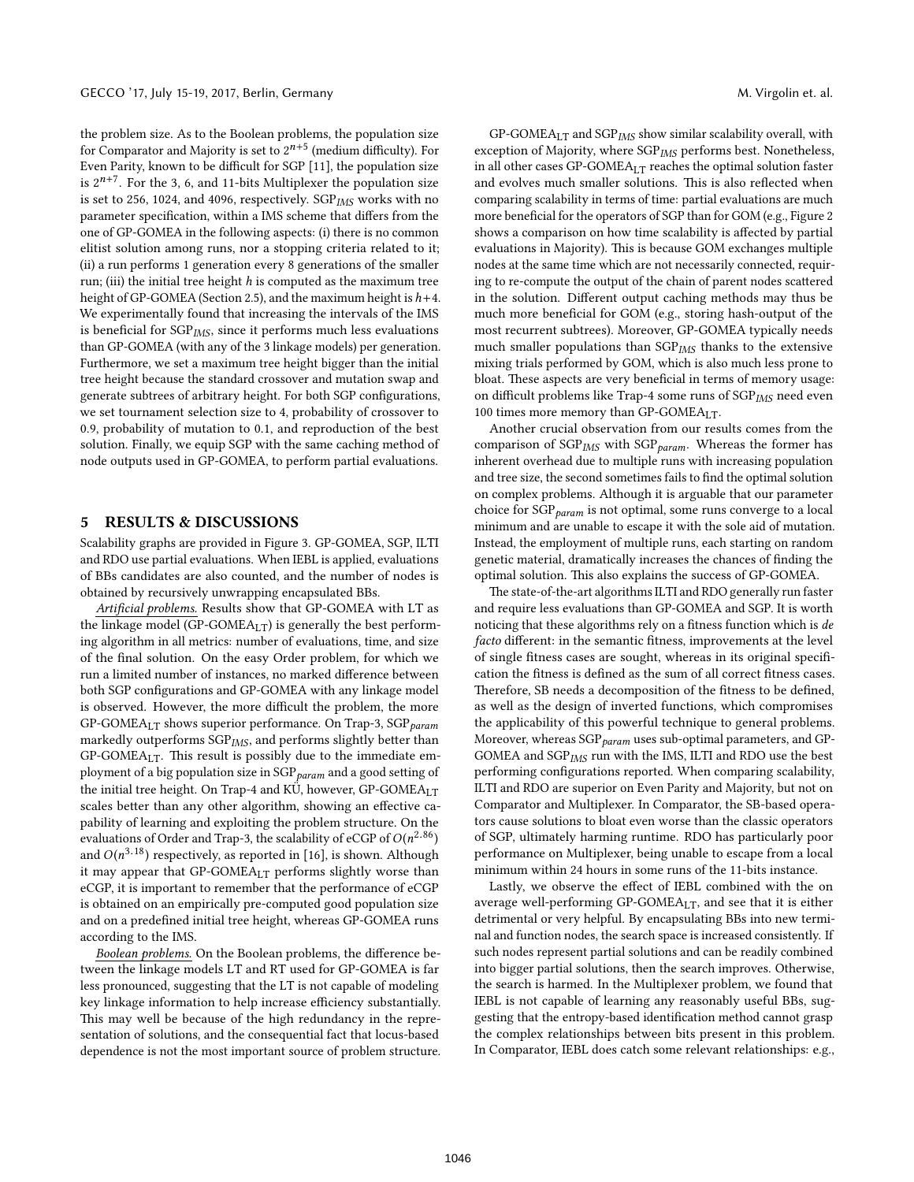the problem size. As to the Boolean problems, the population size for Comparator and Majority is set to  $2^{n+5}$  (medium difficulty). For Even Parity, known to be difficult for SGP [\[11\]](#page-6-2), the population size is  $2^{n+7}$ . For the 3, 6, and 11-bits Multiplexer the population size is set to 256, 1024, and 4096, respectively.  $SGP_{IMS}$  works with no parameter specification, within a IMS scheme that differs from the one of GP-GOMEA in the following aspects: (i) there is no common elitist solution among runs, nor a stopping criteria related to it; (ii) a run performs 1 generation every 8 generations of the smaller run; (iii) the initial tree height  $h$  is computed as the maximum tree height of GP-GOMEA (Section [2.5\)](#page-2-1), and the maximum height is  $h+4$ . We experimentally found that increasing the intervals of the IMS is beneficial for  $SGP_{IMS}$ , since it performs much less evaluations than GP-GOMEA (with any of the 3 linkage models) per generation. Furthermore, we set a maximum tree height bigger than the initial tree height because the standard crossover and mutation swap and generate subtrees of arbitrary height. For both SGP configurations, we set tournament selection size to 4, probability of crossover to 0.9, probability of mutation to 0.1, and reproduction of the best solution. Finally, we equip SGP with the same caching method of node outputs used in GP-GOMEA, to perform partial evaluations.

## 5 RESULTS & DISCUSSIONS

Scalability graphs are provided in Figure [3.](#page-7-1) GP-GOMEA, SGP, ILTI and RDO use partial evaluations. When IEBL is applied, evaluations of BBs candidates are also counted, and the number of nodes is obtained by recursively unwrapping encapsulated BBs.

Artificial problems. Results show that GP-GOMEA with LT as the linkage model (GP-GOME $A_{LT}$ ) is generally the best performing algorithm in all metrics: number of evaluations, time, and size of the final solution. On the easy Order problem, for which we run a limited number of instances, no marked difference between both SGP configurations and GP-GOMEA with any linkage model is observed. However, the more difficult the problem, the more  $GP$ -GOME $A_{LT}$  shows superior performance. On Trap-3, SGP<sub>param</sub> markedly outperforms  $SGP_{IMS}$ , and performs slightly better than  $GP$ -GOME $A_{LT}$ . This result is possibly due to the immediate employment of a big population size in  $SGP_{param}$  and a good setting of the initial tree height. On Trap-4 and KÜ, however, GP-GOME $A_{LT}$ scales better than any other algorithm, showing an effective capability of learning and exploiting the problem structure. On the evaluations of Order and Trap-3, the scalability of eCGP of  $O(n^{2.86})$ <br>and  $O(n^{3.18})$  respectively as reported in [16] is shown. Although and  $O(n^{3.18})$  respectively, as reported in [\[16\]](#page-6-13), is shown. Although it may appear that GP-GOMEA  $\alpha$  performs slightly worse than it may appear that GP-GOMEA<sub>LT</sub> performs slightly worse than eCGP, it is important to remember that the performance of eCGP is obtained on an empirically pre-computed good population size and on a predefined initial tree height, whereas GP-GOMEA runs according to the IMS.

Boolean problems. On the Boolean problems, the difference between the linkage models LT and RT used for GP-GOMEA is far less pronounced, suggesting that the LT is not capable of modeling key linkage information to help increase efficiency substantially. This may well be because of the high redundancy in the representation of solutions, and the consequential fact that locus-based dependence is not the most important source of problem structure.

 $GP$ -GOME $A_{LT}$  and  $SGP_{IMS}$  show similar scalability overall, with exception of Majority, where  $SGP_{IMS}$  performs best. Nonetheless, in all other cases GP-GOMEALT reaches the optimal solution faster and evolves much smaller solutions. This is also reflected when comparing scalability in terms of time: partial evaluations are much more beneficial for the operators of SGP than for GOM (e.g., Figure [2](#page-6-17) shows a comparison on how time scalability is affected by partial evaluations in Majority). This is because GOM exchanges multiple nodes at the same time which are not necessarily connected, requiring to re-compute the output of the chain of parent nodes scattered in the solution. Different output caching methods may thus be much more beneficial for GOM (e.g., storing hash-output of the most recurrent subtrees). Moreover, GP-GOMEA typically needs much smaller populations than  $SGP_{IMS}$  thanks to the extensive mixing trials performed by GOM, which is also much less prone to bloat. These aspects are very beneficial in terms of memory usage: on difficult problems like Trap-4 some runs of  $SGP_{IMS}$  need even 100 times more memory than GP-GOMEALT.

Another crucial observation from our results comes from the comparison of  $SGP_{IMS}$  with  $SGP_{param}$ . Whereas the former has inherent overhead due to multiple runs with increasing population and tree size, the second sometimes fails to find the optimal solution on complex problems. Although it is arguable that our parameter choice for  $SGP_{param}$  is not optimal, some runs converge to a local minimum and are unable to escape it with the sole aid of mutation. Instead, the employment of multiple runs, each starting on random genetic material, dramatically increases the chances of finding the optimal solution. This also explains the success of GP-GOMEA.

The state-of-the-art algorithms ILTI and RDO generally run faster and require less evaluations than GP-GOMEA and SGP. It is worth noticing that these algorithms rely on a fitness function which is de facto different: in the semantic fitness, improvements at the level of single fitness cases are sought, whereas in its original specification the fitness is defined as the sum of all correct fitness cases. Therefore, SB needs a decomposition of the fitness to be defined, as well as the design of inverted functions, which compromises the applicability of this powerful technique to general problems. Moreover, whereas  $SGP_{param}$  uses sub-optimal parameters, and  $GP$ -GOMEA and  $SGP_{IMS}$  run with the IMS, ILTI and RDO use the best performing configurations reported. When comparing scalability, ILTI and RDO are superior on Even Parity and Majority, but not on Comparator and Multiplexer. In Comparator, the SB-based operators cause solutions to bloat even worse than the classic operators of SGP, ultimately harming runtime. RDO has particularly poor performance on Multiplexer, being unable to escape from a local minimum within 24 hours in some runs of the 11-bits instance.

Lastly, we observe the effect of IEBL combined with the on average well-performing GP-GOME $A_{LT}$ , and see that it is either detrimental or very helpful. By encapsulating BBs into new terminal and function nodes, the search space is increased consistently. If such nodes represent partial solutions and can be readily combined into bigger partial solutions, then the search improves. Otherwise, the search is harmed. In the Multiplexer problem, we found that IEBL is not capable of learning any reasonably useful BBs, suggesting that the entropy-based identification method cannot grasp the complex relationships between bits present in this problem. In Comparator, IEBL does catch some relevant relationships: e.g.,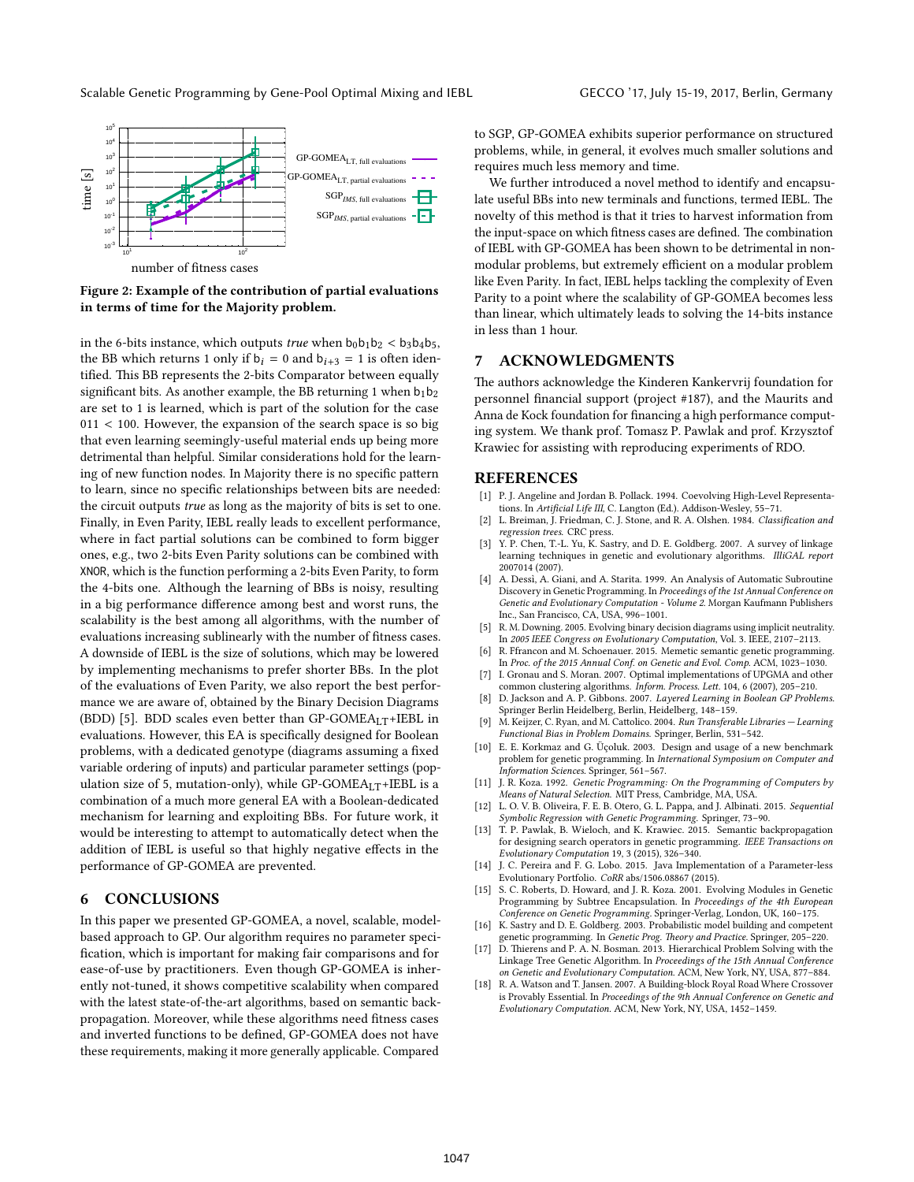<span id="page-6-17"></span>

Figure 2: Example of the contribution of partial evaluations in terms of time for the Majority problem.

in the 6-bits instance, which outputs *true* when  $b_0b_1b_2 < b_3b_4b_5$ , the BB which returns 1 only if  $b_i = 0$  and  $b_{i+3} = 1$  is often identified. This BB represents the 2-bits Comparator between equally significant bits. As another example, the BB returning 1 when  $b_1b_2$ are set to 1 is learned, which is part of the solution for the case <sup>011</sup> < 100. However, the expansion of the search space is so big that even learning seemingly-useful material ends up being more detrimental than helpful. Similar considerations hold for the learning of new function nodes. In Majority there is no specific pattern to learn, since no specific relationships between bits are needed: the circuit outputs true as long as the majority of bits is set to one. Finally, in Even Parity, IEBL really leads to excellent performance, where in fact partial solutions can be combined to form bigger ones, e.g., two 2-bits Even Parity solutions can be combined with XNOR, which is the function performing a 2-bits Even Parity, to form the 4-bits one. Although the learning of BBs is noisy, resulting in a big performance difference among best and worst runs, the scalability is the best among all algorithms, with the number of evaluations increasing sublinearly with the number of fitness cases. A downside of IEBL is the size of solutions, which may be lowered by implementing mechanisms to prefer shorter BBs. In the plot of the evaluations of Even Parity, we also report the best performance we are aware of, obtained by the Binary Decision Diagrams (BDD) [\[5\]](#page-6-18). BDD scales even better than GP-GOME $A_{LT}$ +IEBL in evaluations. However, this EA is specifically designed for Boolean problems, with a dedicated genotype (diagrams assuming a fixed variable ordering of inputs) and particular parameter settings (population size of 5, mutation-only), while GP-GOMEA<sub>LT</sub>+IEBL is a combination of a much more general EA with a Boolean-dedicated mechanism for learning and exploiting BBs. For future work, it would be interesting to attempt to automatically detect when the addition of IEBL is useful so that highly negative effects in the performance of GP-GOMEA are prevented.

## 6 CONCLUSIONS

In this paper we presented GP-GOMEA, a novel, scalable, modelbased approach to GP. Our algorithm requires no parameter speci fication, which is important for making fair comparisons and for ease-of-use by practitioners. Even though GP-GOMEA is inherently not-tuned, it shows competitive scalability when compared with the latest state-of-the-art algorithms, based on semantic backpropagation. Moreover, while these algorithms need fitness cases and inverted functions to be defined, GP-GOMEA does not have these requirements, making it more generally applicable. Compared

to SGP, GP-GOMEA exhibits superior performance on structured problems, while, in general, it evolves much smaller solutions and requires much less memory and time.

We further introduced a novel method to identify and encapsulate useful BBs into new terminals and functions, termed IEBL. The novelty of this method is that it tries to harvest information from the input-space on which fitness cases are defined. The combination of IEBL with GP-GOMEA has been shown to be detrimental in nonmodular problems, but extremely efficient on a modular problem like Even Parity. In fact, IEBL helps tackling the complexity of Even Parity to a point where the scalability of GP-GOMEA becomes less than linear, which ultimately leads to solving the 14-bits instance in less than 1 hour.

# 7 ACKNOWLEDGMENTS

The authors acknowledge the Kinderen Kankervrij foundation for personnel financial support (project #187), and the Maurits and Anna de Kock foundation for financing a high performance computing system. We thank prof. Tomasz P. Pawlak and prof. Krzysztof Krawiec for assisting with reproducing experiments of RDO.

## REFERENCES

- <span id="page-6-5"></span>[1] P. J. Angeline and Jordan B. Pollack. 1994. Coevolving High-Level Representations. In Artificial Life III, C. Langton (Ed.). Addison-Wesley, 55-71.
- <span id="page-6-10"></span>[2] L. Breiman, J. Friedman, C. J. Stone, and R. A. Olshen. 1984. Classification and regression trees. CRC press.
- <span id="page-6-1"></span>[3] Y. P. Chen, T.-L. Yu, K. Sastry, and D. E. Goldberg. 2007. A survey of linkage learning techniques in genetic and evolutionary algorithms. IlliGAL report 2007014 (2007).
- <span id="page-6-4"></span>[4] A. Dessì, A. Giani, and A. Starita. 1999. An Analysis of Automatic Subroutine Discovery in Genetic Programming. In Proceedings of the 1st Annual Conference on Genetic and Evolutionary Computation - Volume 2. Morgan Kaufmann Publishers Inc., San Francisco, CA, USA, 996–1001.
- <span id="page-6-18"></span>R. M. Downing. 2005. Evolving binary decision diagrams using implicit neutrality. In 2005 IEEE Congress on Evolutionary Computation, Vol. 3. IEEE, 2107–2113.
- <span id="page-6-15"></span>[6] R. Ffrancon and M. Schoenauer. 2015. Memetic semantic genetic programming. In Proc. of the 2015 Annual Conf. on Genetic and Evol. Comp. ACM, 1023–1030.
- <span id="page-6-11"></span>[7] I. Gronau and S. Moran. 2007. Optimal implementations of UPGMA and other common clustering algorithms.  $\overline{Inform}$ . Process. Lett. 104, 6 (2007), 205–210.
- <span id="page-6-7"></span>[8] D. Jackson and A. P. Gibbons. 2007. Layered Learning in Boolean GP Problems. Springer Berlin Heidelberg, Berlin, Heidelberg, 148–159.
- <span id="page-6-8"></span>[9] M. Keijzer, C. Ryan, and M. Cattolico. 2004. Run Transferable Libraries - Learning Functional Bias in Problem Domains. Springer, Berlin, 531–542.
- <span id="page-6-14"></span>[10] E. E. Korkmaz and G. Üçoluk. 2003. Design and usage of a new benchmark problem for genetic programming. In International Symposium on Computer and Information Sciences. Springer, 561–567.
- <span id="page-6-2"></span>[11] J. R. Koza. 1992. Genetic Programming: On the Programming of Computers by Means of Natural Selection. MIT Press, Cambridge, MA, USA.
- <span id="page-6-3"></span>[12] L. O. V. B. Oliveira, F. E. B. Otero, G. L. Pappa, and J. Albinati. 2015. Sequential Symbolic Regression with Genetic Programming. Springer, 73–90.
- <span id="page-6-16"></span>[13] T. P. Pawlak, B. Wieloch, and K. Krawiec. 2015. Semantic backpropagation for designing search operators in genetic programming. IEEE Transactions on Evolutionary Computation 19, 3 (2015), 326–340.
- <span id="page-6-12"></span>[14] J. C. Pereira and F. G. Lobo. 2015. Java Implementation of a Parameter-less Evolutionary Portfolio. CoRR abs/1506.08867 (2015).
- <span id="page-6-6"></span>[15] S. C. Roberts, D. Howard, and J. R. Koza. 2001. Evolving Modules in Genetic Programming by Subtree Encapsulation. In Proceedings of the 4th European Conference on Genetic Programming. Springer-Verlag, London, UK, 160–175.
- <span id="page-6-13"></span>[16] K. Sastry and D. E. Goldberg. 2003. Probabilistic model building and competent genetic programming. In Genetic Prog. Theory and Practice. Springer, 205-220.
- <span id="page-6-9"></span>[17] D. Thierens and P. A. N. Bosman. 2013. Hierarchical Problem Solving with the Linkage Tree Genetic Algorithm. In Proceedings of the 15th Annual Conference on Genetic and Evolutionary Computation. ACM, New York, NY, USA, 877–884.
- <span id="page-6-0"></span>[18] R. A. Watson and T. Jansen. 2007. A Building-block Royal Road Where Crossover is Provably Essential. In Proceedings of the 9th Annual Conference on Genetic and Evolutionary Computation. ACM, New York, NY, USA, 1452–1459.